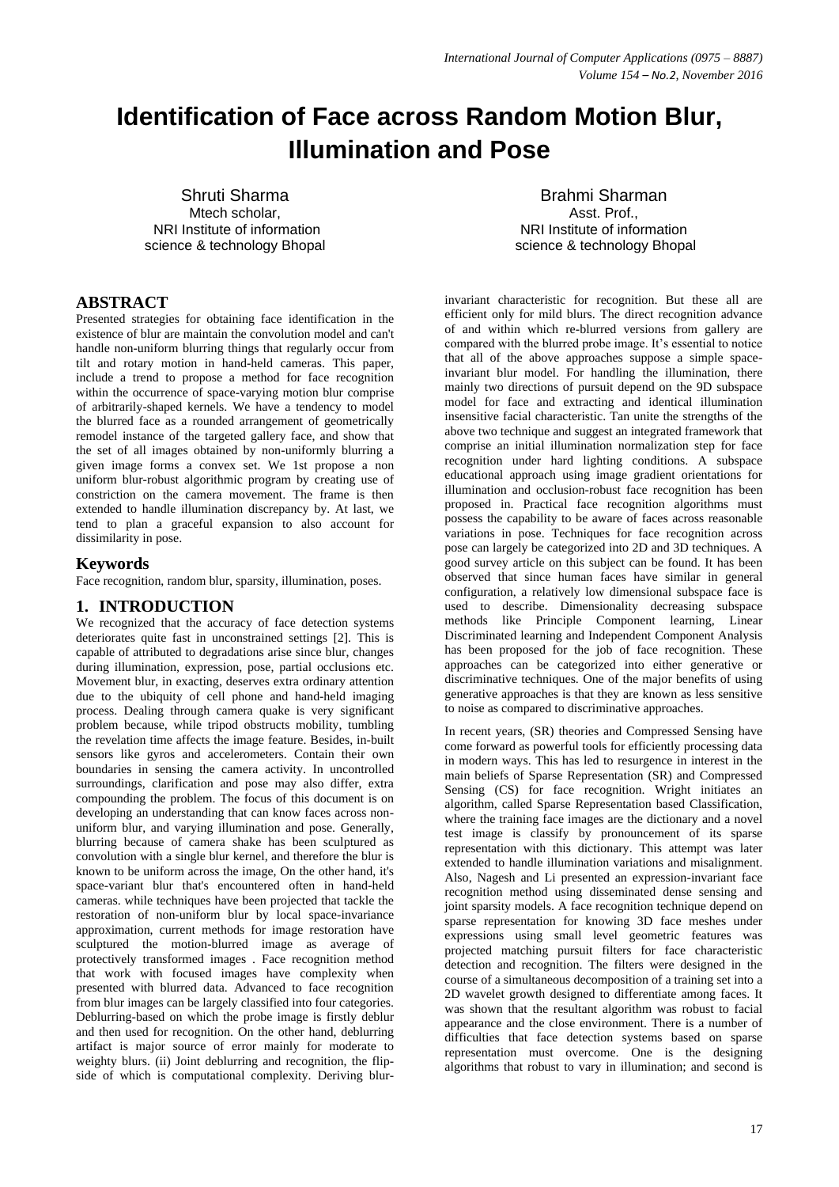# **Identification of Face across Random Motion Blur, Illumination and Pose**

Shruti Sharma Mtech scholar. NRI Institute of information science & technology Bhopal

Brahmi Sharman Asst. Prof. NRI Institute of information science & technology Bhopal

# **ABSTRACT**

Presented strategies for obtaining face identification in the existence of blur are maintain the convolution model and can't handle non-uniform blurring things that regularly occur from tilt and rotary motion in hand-held cameras. This paper, include a trend to propose a method for face recognition within the occurrence of space-varying motion blur comprise of arbitrarily-shaped kernels. We have a tendency to model the blurred face as a rounded arrangement of geometrically remodel instance of the targeted gallery face, and show that the set of all images obtained by non-uniformly blurring a given image forms a convex set. We 1st propose a non uniform blur-robust algorithmic program by creating use of constriction on the camera movement. The frame is then extended to handle illumination discrepancy by. At last, we tend to plan a graceful expansion to also account for dissimilarity in pose.

## **Keywords**

Face recognition, random blur, sparsity, illumination, poses.

## **1. INTRODUCTION**

We recognized that the accuracy of face detection systems deteriorates quite fast in unconstrained settings [2]. This is capable of attributed to degradations arise since blur, changes during illumination, expression, pose, partial occlusions etc. Movement blur, in exacting, deserves extra ordinary attention due to the ubiquity of cell phone and hand-held imaging process. Dealing through camera quake is very significant problem because, while tripod obstructs mobility, tumbling the revelation time affects the image feature. Besides, in-built sensors like gyros and accelerometers. Contain their own boundaries in sensing the camera activity. In uncontrolled surroundings, clarification and pose may also differ, extra compounding the problem. The focus of this document is on developing an understanding that can know faces across nonuniform blur, and varying illumination and pose. Generally, blurring because of camera shake has been sculptured as convolution with a single blur kernel, and therefore the blur is known to be uniform across the image, On the other hand, it's space-variant blur that's encountered often in hand-held cameras. while techniques have been projected that tackle the restoration of non-uniform blur by local space-invariance approximation, current methods for image restoration have sculptured the motion-blurred image as average of protectively transformed images . Face recognition method that work with focused images have complexity when presented with blurred data. Advanced to face recognition from blur images can be largely classified into four categories. Deblurring-based on which the probe image is firstly deblur and then used for recognition. On the other hand, deblurring artifact is major source of error mainly for moderate to weighty blurs. (ii) Joint deblurring and recognition, the flipside of which is computational complexity. Deriving blur-

invariant characteristic for recognition. But these all are efficient only for mild blurs. The direct recognition advance of and within which re-blurred versions from gallery are compared with the blurred probe image. It's essential to notice that all of the above approaches suppose a simple spaceinvariant blur model. For handling the illumination, there mainly two directions of pursuit depend on the 9D subspace model for face and extracting and identical illumination insensitive facial characteristic. Tan unite the strengths of the above two technique and suggest an integrated framework that comprise an initial illumination normalization step for face recognition under hard lighting conditions. A subspace educational approach using image gradient orientations for illumination and occlusion-robust face recognition has been proposed in. Practical face recognition algorithms must possess the capability to be aware of faces across reasonable variations in pose. Techniques for face recognition across pose can largely be categorized into 2D and 3D techniques. A good survey article on this subject can be found. It has been observed that since human faces have similar in general configuration, a relatively low dimensional subspace face is used to describe. Dimensionality decreasing subspace methods like Principle Component learning, Linear Discriminated learning and Independent Component Analysis has been proposed for the job of face recognition. These approaches can be categorized into either generative or discriminative techniques. One of the major benefits of using generative approaches is that they are known as less sensitive to noise as compared to discriminative approaches.

In recent years, (SR) theories and Compressed Sensing have come forward as powerful tools for efficiently processing data in modern ways. This has led to resurgence in interest in the main beliefs of Sparse Representation (SR) and Compressed Sensing (CS) for face recognition. Wright initiates an algorithm, called Sparse Representation based Classification, where the training face images are the dictionary and a novel test image is classify by pronouncement of its sparse representation with this dictionary. This attempt was later extended to handle illumination variations and misalignment. Also, Nagesh and Li presented an expression-invariant face recognition method using disseminated dense sensing and joint sparsity models. A face recognition technique depend on sparse representation for knowing 3D face meshes under expressions using small level geometric features was projected matching pursuit filters for face characteristic detection and recognition. The filters were designed in the course of a simultaneous decomposition of a training set into a 2D wavelet growth designed to differentiate among faces. It was shown that the resultant algorithm was robust to facial appearance and the close environment. There is a number of difficulties that face detection systems based on sparse representation must overcome. One is the designing algorithms that robust to vary in illumination; and second is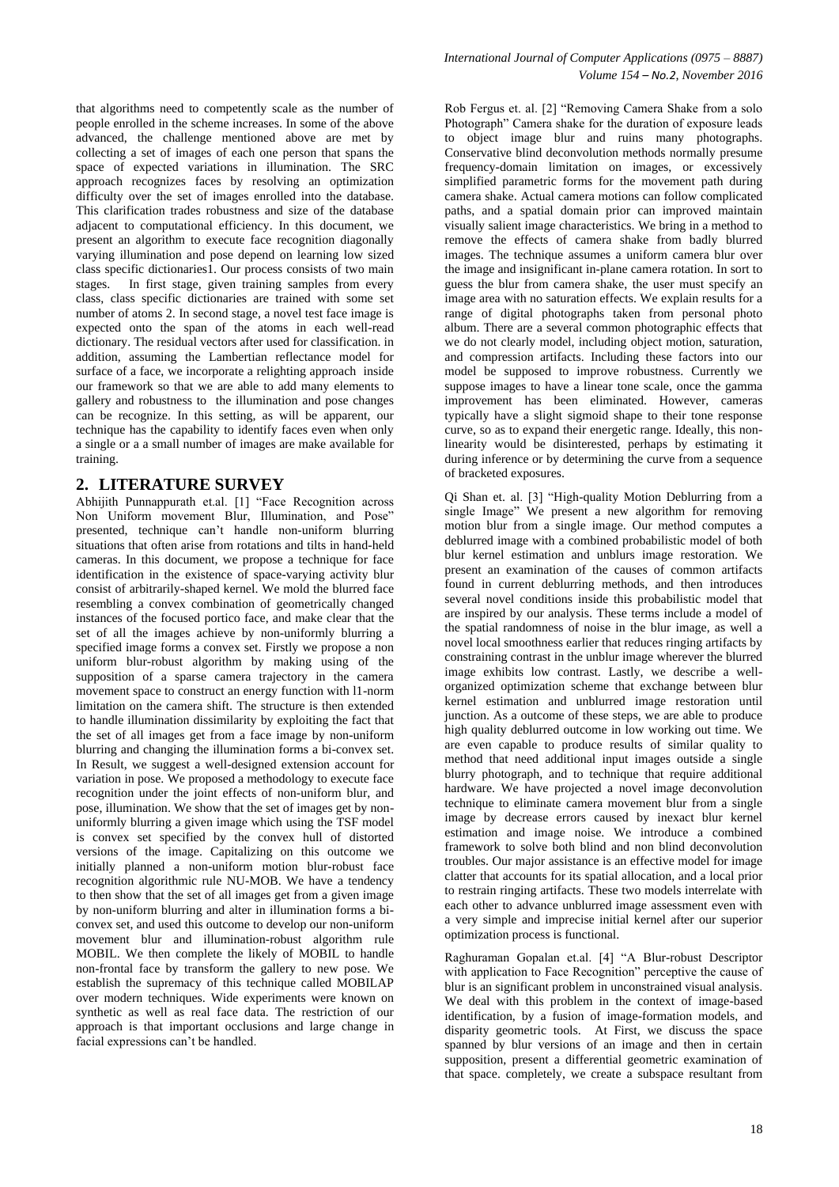that algorithms need to competently scale as the number of people enrolled in the scheme increases. In some of the above advanced, the challenge mentioned above are met by collecting a set of images of each one person that spans the space of expected variations in illumination. The SRC approach recognizes faces by resolving an optimization difficulty over the set of images enrolled into the database. This clarification trades robustness and size of the database adjacent to computational efficiency. In this document, we present an algorithm to execute face recognition diagonally varying illumination and pose depend on learning low sized class specific dictionaries1. Our process consists of two main stages. In first stage, given training samples from every class, class specific dictionaries are trained with some set number of atoms 2. In second stage, a novel test face image is expected onto the span of the atoms in each well-read dictionary. The residual vectors after used for classification. in addition, assuming the Lambertian reflectance model for surface of a face, we incorporate a relighting approach inside our framework so that we are able to add many elements to gallery and robustness to the illumination and pose changes can be recognize. In this setting, as will be apparent, our technique has the capability to identify faces even when only a single or a a small number of images are make available for training.

## **2. LITERATURE SURVEY**

Abhijith Punnappurath et.al. [1] "Face Recognition across Non Uniform movement Blur, Illumination, and Pose" presented, technique can"t handle non-uniform blurring situations that often arise from rotations and tilts in hand-held cameras. In this document, we propose a technique for face identification in the existence of space-varying activity blur consist of arbitrarily-shaped kernel. We mold the blurred face resembling a convex combination of geometrically changed instances of the focused portico face, and make clear that the set of all the images achieve by non-uniformly blurring a specified image forms a convex set. Firstly we propose a non uniform blur-robust algorithm by making using of the supposition of a sparse camera trajectory in the camera movement space to construct an energy function with l1-norm limitation on the camera shift. The structure is then extended to handle illumination dissimilarity by exploiting the fact that the set of all images get from a face image by non-uniform blurring and changing the illumination forms a bi-convex set. In Result, we suggest a well-designed extension account for variation in pose. We proposed a methodology to execute face recognition under the joint effects of non-uniform blur, and pose, illumination. We show that the set of images get by nonuniformly blurring a given image which using the TSF model is convex set specified by the convex hull of distorted versions of the image. Capitalizing on this outcome we initially planned a non-uniform motion blur-robust face recognition algorithmic rule NU-MOB. We have a tendency to then show that the set of all images get from a given image by non-uniform blurring and alter in illumination forms a biconvex set, and used this outcome to develop our non-uniform movement blur and illumination-robust algorithm rule MOBIL. We then complete the likely of MOBIL to handle non-frontal face by transform the gallery to new pose. We establish the supremacy of this technique called MOBILAP over modern techniques. Wide experiments were known on synthetic as well as real face data. The restriction of our approach is that important occlusions and large change in facial expressions can"t be handled.

Rob Fergus et. al. [2] "Removing Camera Shake from a solo Photograph" Camera shake for the duration of exposure leads to object image blur and ruins many photographs. Conservative blind deconvolution methods normally presume frequency-domain limitation on images, or excessively simplified parametric forms for the movement path during camera shake. Actual camera motions can follow complicated paths, and a spatial domain prior can improved maintain visually salient image characteristics. We bring in a method to remove the effects of camera shake from badly blurred images. The technique assumes a uniform camera blur over the image and insignificant in-plane camera rotation. In sort to guess the blur from camera shake, the user must specify an image area with no saturation effects. We explain results for a range of digital photographs taken from personal photo album. There are a several common photographic effects that we do not clearly model, including object motion, saturation, and compression artifacts. Including these factors into our model be supposed to improve robustness. Currently we suppose images to have a linear tone scale, once the gamma improvement has been eliminated. However, cameras typically have a slight sigmoid shape to their tone response curve, so as to expand their energetic range. Ideally, this nonlinearity would be disinterested, perhaps by estimating it during inference or by determining the curve from a sequence of bracketed exposures.

Qi Shan et. al. [3] "High-quality Motion Deblurring from a single Image" We present a new algorithm for removing motion blur from a single image. Our method computes a deblurred image with a combined probabilistic model of both blur kernel estimation and unblurs image restoration. We present an examination of the causes of common artifacts found in current deblurring methods, and then introduces several novel conditions inside this probabilistic model that are inspired by our analysis. These terms include a model of the spatial randomness of noise in the blur image, as well a novel local smoothness earlier that reduces ringing artifacts by constraining contrast in the unblur image wherever the blurred image exhibits low contrast. Lastly, we describe a wellorganized optimization scheme that exchange between blur kernel estimation and unblurred image restoration until junction. As a outcome of these steps, we are able to produce high quality deblurred outcome in low working out time. We are even capable to produce results of similar quality to method that need additional input images outside a single blurry photograph, and to technique that require additional hardware. We have projected a novel image deconvolution technique to eliminate camera movement blur from a single image by decrease errors caused by inexact blur kernel estimation and image noise. We introduce a combined framework to solve both blind and non blind deconvolution troubles. Our major assistance is an effective model for image clatter that accounts for its spatial allocation, and a local prior to restrain ringing artifacts. These two models interrelate with each other to advance unblurred image assessment even with a very simple and imprecise initial kernel after our superior optimization process is functional.

Raghuraman Gopalan et.al. [4] "A Blur-robust Descriptor with application to Face Recognition" perceptive the cause of blur is an significant problem in unconstrained visual analysis. We deal with this problem in the context of image-based identification, by a fusion of image-formation models, and disparity geometric tools. At First, we discuss the space spanned by blur versions of an image and then in certain supposition, present a differential geometric examination of that space. completely, we create a subspace resultant from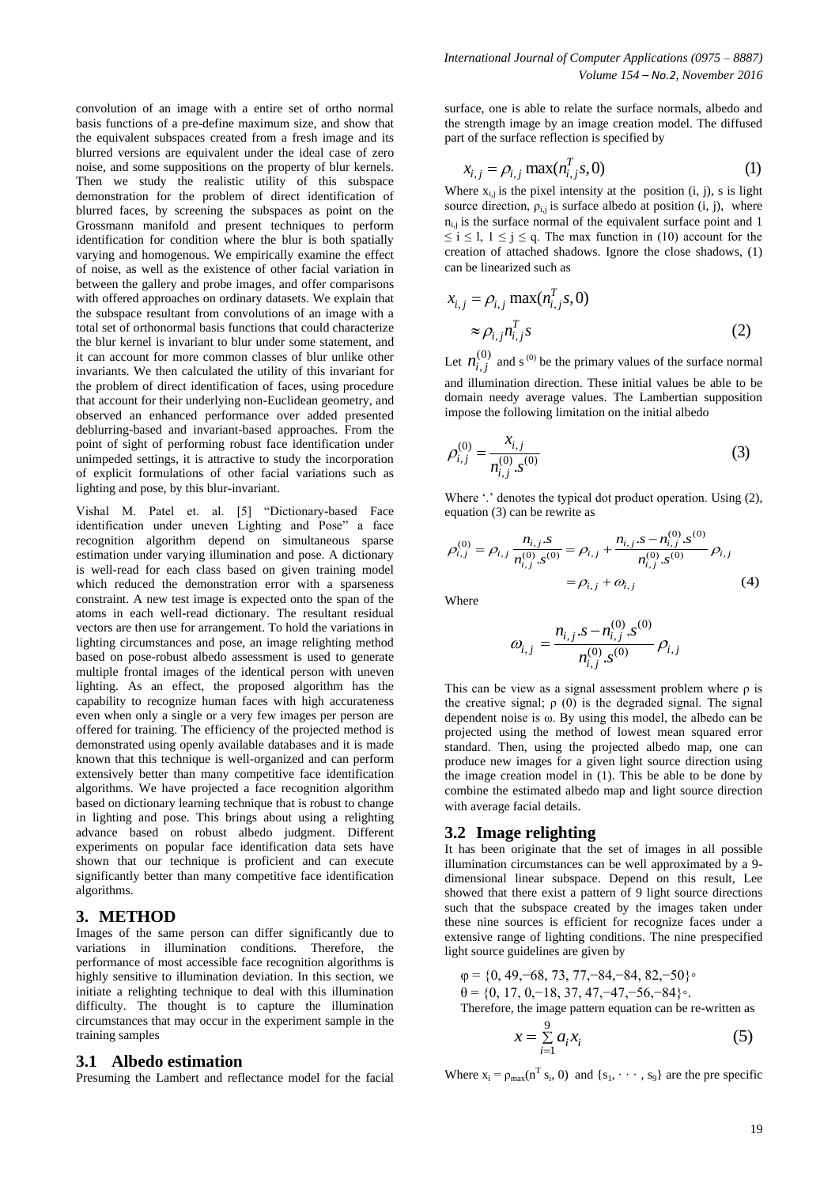convolution of an image with a entire set of ortho normal basis functions of a pre-define maximum size, and show that the equivalent subspaces created from a fresh image and its blurred versions are equivalent under the ideal case of zero noise, and some suppositions on the property of blur kernels. Then we study the realistic utility of this subspace demonstration for the problem of direct identification of blurred faces, by screening the subspaces as point on the Grossmann manifold and present techniques to perform identification for condition where the blur is both spatially varying and homogenous. We empirically examine the effect of noise, as well as the existence of other facial variation in between the gallery and probe images, and offer comparisons with offered approaches on ordinary datasets. We explain that the subspace resultant from convolutions of an image with a total set of orthonormal basis functions that could characterize the blur kernel is invariant to blur under some statement, and it can account for more common classes of blur unlike other invariants. We then calculated the utility of this invariant for the problem of direct identification of faces, using procedure that account for their underlying non-Euclidean geometry, and observed an enhanced performance over added presented deblurring-based and invariant-based approaches. From the point of sight of performing robust face identification under unimpeded settings, it is attractive to study the incorporation of explicit formulations of other facial variations such as lighting and pose, by this blur-invariant.

Vishal M. Patel et. al. [5] "Dictionary-based Face identification under uneven Lighting and Pose" a face recognition algorithm depend on simultaneous sparse estimation under varying illumination and pose. A dictionary is well-read for each class based on given training model which reduced the demonstration error with a sparseness constraint. A new test image is expected onto the span of the atoms in each well-read dictionary. The resultant residual vectors are then use for arrangement. To hold the variations in lighting circumstances and pose, an image relighting method based on pose-robust albedo assessment is used to generate multiple frontal images of the identical person with uneven lighting. As an effect, the proposed algorithm has the capability to recognize human faces with high accurateness even when only a single or a very few images per person are offered for training. The efficiency of the projected method is demonstrated using openly available databases and it is made known that this technique is well-organized and can perform extensively better than many competitive face identification algorithms. We have projected a face recognition algorithm based on dictionary learning technique that is robust to change in lighting and pose. This brings about using a relighting advance based on robust albedo judgment. Different experiments on popular face identification data sets have shown that our technique is proficient and can execute significantly better than many competitive face identification algorithms.

#### **3. METHOD**

Images of the same person can differ significantly due to variations in illumination conditions. Therefore, the performance of most accessible face recognition algorithms is highly sensitive to illumination deviation. In this section, we initiate a relighting technique to deal with this illumination difficulty. The thought is to capture the illumination circumstances that may occur in the experiment sample in the training samples

#### **3.1 Albedo estimation**

Presuming the Lambert and reflectance model for the facial

surface, one is able to relate the surface normals, albedo and the strength image by an image creation model. The diffused

part of the surface reflection is specified by  

$$
x_{i,j} = \rho_{i,j} \max(n_{i,j}^T s, 0)
$$
(1)

Where  $x_{i,j}$  is the pixel intensity at the position  $(i, j)$ , s is light source direction,  $\rho_{i,j}$  is surface albedo at position (i, j), where  $n_{i,j}$  is the surface normal of the equivalent surface point and 1  $\leq i \leq 1, 1 \leq j \leq q$ . The max function in (10) account for the creation of attached shadows. Ignore the close shadows, (1)

can be linearized such as  
\n
$$
x_{i,j} = \rho_{i,j} \max(n_{i,j}^T s, 0)
$$
\n
$$
\approx \rho_{i,j} n_{i,j}^T s
$$
\n(2)

Let  $n_i^{(0)}$  $n_{i,j}^{(0)}$  and s<sup>(0)</sup> be the primary values of the surface normal and illumination direction. These initial values be able to be domain needy average values. The Lambertian supposition impose the following limitation on the initial albedo

$$
\rho_{i,j}^{(0)} = \frac{x_{i,j}}{n_{i,j}^{(0)} \cdot s^{(0)}}
$$
\n(3)

Where "..." denotes the typical dot product operation. Using (2),

equation (3) can be rewrite as  
\n
$$
\rho_{i,j}^{(0)} = \rho_{i,j} \frac{n_{i,j} . s}{n_{i,j}^{(0)} . s^{(0)}} = \rho_{i,j} + \frac{n_{i,j} . s - n_{i,j}^{(0)} . s^{(0)}}{n_{i,j}^{(0)} . s^{(0)}} \rho_{i,j}
$$
\n
$$
= \rho_{i,j} + \omega_{i,j} \qquad (4)
$$

Where

$$
\omega_{i,j} = \frac{n_{i,j} \cdot s - n_{i,j}^{(0)} \cdot s^{(0)}}{n_{i,j}^{(0)} \cdot s^{(0)}} \rho_{i,j}
$$

This can be view as a signal assessment problem where ρ is the creative signal;  $\rho(0)$  is the degraded signal. The signal dependent noise is ω. By using this model, the albedo can be projected using the method of lowest mean squared error standard. Then, using the projected albedo map, one can produce new images for a given light source direction using the image creation model in (1). This be able to be done by combine the estimated albedo map and light source direction with average facial details.

#### **3.2 Image relighting**

It has been originate that the set of images in all possible illumination circumstances can be well approximated by a 9 dimensional linear subspace. Depend on this result, Lee showed that there exist a pattern of 9 light source directions such that the subspace created by the images taken under these nine sources is efficient for recognize faces under a extensive range of lighting conditions. The nine prespecified light source guidelines are given by

$$
\varphi = \{0, 49, -68, 73, 77, -84, -84, 82, -50\}^{\circ}
$$
  

$$
\theta = \{0, 17, 0, -18, 37, 47, -47, -56, -84\}^{\circ}.
$$
  
Therefore, the image pattern equation can be re-written as

the image pattern equation can be re-written as  
\n
$$
x = \sum_{i=1}^{9} a_i x_i
$$
\n(5)

Where  $x_i = \rho_{max}(n^T s_i, 0)$  and  $\{s_1, \dots, s_9\}$  are the pre specific